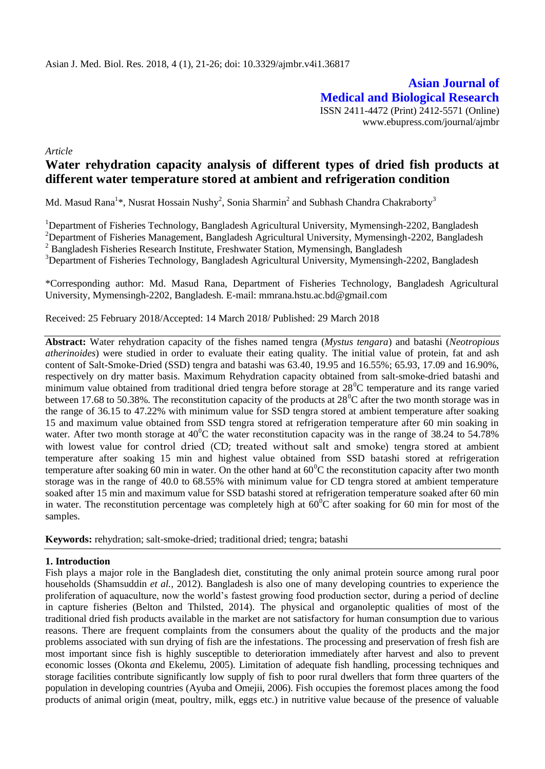**Asian Journal of Medical and Biological Research** ISSN 2411-4472 (Print) 2412-5571 (Online) www.ebupress.com/journal/ajmbr

*Article*

# **Water rehydration capacity analysis of different types of dried fish products at different water temperature stored at ambient and refrigeration condition**

Md. Masud Rana<sup>1\*</sup>, Nusrat Hossain Nushy<sup>2</sup>, Sonia Sharmin<sup>2</sup> and Subhash Chandra Chakraborty<sup>3</sup>

<sup>1</sup>Department of Fisheries Technology, Bangladesh Agricultural University, Mymensingh-2202, Bangladesh <sup>2</sup>Department of Fisheries Management, Bangladesh Agricultural University, Mymensingh-2202, Bangladesh <sup>2</sup> Bangladesh Fisheries Research Institute, Freshwater Station, Mymensingh, Bangladesh <sup>3</sup>Department of Fisheries Technology, Bangladesh Agricultural University, Mymensingh-2202, Bangladesh

\*Corresponding author: Md. Masud Rana, Department of Fisheries Technology, Bangladesh Agricultural University, Mymensingh-2202, Bangladesh. E-mail: mmrana.hstu.ac.bd@gmail.com

Received: 25 February 2018/Accepted: 14 March 2018/ Published: 29 March 2018

**Abstract:** Water rehydration capacity of the fishes named tengra (*Mystus tengara*) and batashi (*Neotropious atherinoides*) were studied in order to evaluate their eating quality. The initial value of protein, fat and ash content of Salt-Smoke-Dried (SSD) tengra and batashi was 63.40, 19.95 and 16.55%; 65.93, 17.09 and 16.90%, respectively on dry matter basis. Maximum Rehydration capacity obtained from salt-smoke-dried batashi and minimum value obtained from traditional dried tengra before storage at  $28^{\circ}$ C temperature and its range varied between 17.68 to 50.38%. The reconstitution capacity of the products at  $28^{\circ}$ C after the two month storage was in the range of 36.15 to 47.22% with minimum value for SSD tengra stored at ambient temperature after soaking 15 and maximum value obtained from SSD tengra stored at refrigeration temperature after 60 min soaking in water. After two month storage at  $40^{\circ}$ C the water reconstitution capacity was in the range of 38.24 to 54.78% with lowest value for control dried (CD; treated without salt and smoke) tengra stored at ambient temperature after soaking 15 min and highest value obtained from SSD batashi stored at refrigeration temperature after soaking 60 min in water. On the other hand at  $60^{\circ}$ C the reconstitution capacity after two month storage was in the range of 40.0 to 68.55% with minimum value for CD tengra stored at ambient temperature soaked after 15 min and maximum value for SSD batashi stored at refrigeration temperature soaked after 60 min in water. The reconstitution percentage was completely high at  $60^{\circ}$ C after soaking for 60 min for most of the samples.

**Keywords:** rehydration; salt-smoke-dried; traditional dried; tengra; batashi

# **1. Introduction**

Fish plays a major role in the Bangladesh diet, constituting the only animal protein source among rural poor households (Shamsuddin *et al.,* 2012). Bangladesh is also one of many developing countries to experience the proliferation of aquaculture, now the world's fastest growing food production sector, during a period of decline in capture fisheries (Belton and Thilsted, 2014). The physical and organoleptic qualities of most of the traditional dried fish products available in the market are not satisfactory for human consumption due to various reasons. There are frequent complaints from the consumers about the quality of the products and the major problems associated with sun drying of fish are the infestations. The processing and preservation of fresh fish are most important since fish is highly susceptible to deterioration immediately after harvest and also to prevent economic losses (Okonta *a*nd Ekelemu, 2005). Limitation of adequate fish handling, processing techniques and storage facilities contribute significantly low supply of fish to poor rural dwellers that form three quarters of the population in developing countries (Ayuba and Omejii, 2006). Fish occupies the foremost places among the food products of animal origin (meat, poultry, milk, eggs etc.) in nutritive value because of the presence of valuable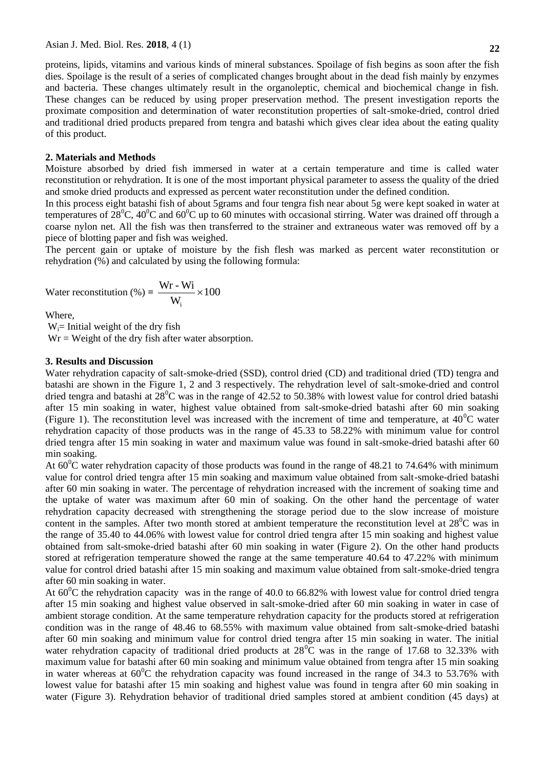proteins, lipids, vitamins and various kinds of mineral substances. Spoilage of fish begins as soon after the fish dies. Spoilage is the result of a series of complicated changes brought about in the dead fish mainly by enzymes and bacteria. These changes ultimately result in the organoleptic, chemical and biochemical change in fish. These changes can be reduced by using proper preservation method. The present investigation reports the proximate composition and determination of water reconstitution properties of salt-smoke-dried, control dried and traditional dried products prepared from tengra and batashi which gives clear idea about the eating quality of this product.

## **2. Materials and Methods**

Moisture absorbed by dried fish immersed in water at a certain temperature and time is called water reconstitution or rehydration. It is one of the most important physical parameter to assess the quality of the dried and smoke dried products and expressed as percent water reconstitution under the defined condition.

In this process eight batashi fish of about 5grams and four tengra fish near about 5g were kept soaked in water at temperatures of  $28^0C$ ,  $40^0C$  and  $60^0C$  up to 60 minutes with occasional stirring. Water was drained off through a coarse nylon net. All the fish was then transferred to the strainer and extraneous water was removed off by a piece of blotting paper and fish was weighed.

The percent gain or uptake of moisture by the fish flesh was marked as percent water reconstitution or rehydration (%) and calculated by using the following formula:

Water reconstruction (%) = 
$$
\frac{Wr - Wi}{W_i} \times 100
$$

Where,

 $W_i$ = Initial weight of the dry fish  $Wr = Weight of the dry fish after water absorption.$ 

## **3. Results and Discussion**

Water rehydration capacity of salt-smoke-dried (SSD), control dried (CD) and traditional dried (TD) tengra and batashi are shown in the Figure 1, 2 and 3 respectively. The rehydration level of salt-smoke-dried and control dried tengra and batashi at  $28^{\circ}$ C was in the range of 42.52 to 50.38% with lowest value for control dried batashi after 15 min soaking in water, highest value obtained from salt-smoke-dried batashi after 60 min soaking (Figure 1). The reconstitution level was increased with the increment of time and temperature, at  $40^{\circ}$ C water rehydration capacity of those products was in the range of 45.33 to 58.22% with minimum value for control dried tengra after 15 min soaking in water and maximum value was found in salt-smoke-dried batashi after 60 min soaking.

At  $60^{\circ}$ C water rehydration capacity of those products was found in the range of 48.21 to 74.64% with minimum value for control dried tengra after 15 min soaking and maximum value obtained from salt-smoke-dried batashi after 60 min soaking in water. The percentage of rehydration increased with the increment of soaking time and the uptake of water was maximum after 60 min of soaking. On the other hand the percentage of water rehydration capacity decreased with strengthening the storage period due to the slow increase of moisture content in the samples. After two month stored at ambient temperature the reconstitution level at  $28^{\circ}$ C was in the range of 35.40 to 44.06% with lowest value for control dried tengra after 15 min soaking and highest value obtained from salt-smoke-dried batashi after 60 min soaking in water (Figure 2). On the other hand products stored at refrigeration temperature showed the range at the same temperature 40.64 to 47.22% with minimum value for control dried batashi after 15 min soaking and maximum value obtained from salt-smoke-dried tengra after 60 min soaking in water.

At  $60^{\circ}$ C the rehydration capacity was in the range of 40.0 to 66.82% with lowest value for control dried tengra after 15 min soaking and highest value observed in salt-smoke-dried after 60 min soaking in water in case of ambient storage condition. At the same temperature rehydration capacity for the products stored at refrigeration condition was in the range of 48.46 to 68.55% with maximum value obtained from salt-smoke-dried batashi after 60 min soaking and minimum value for control dried tengra after 15 min soaking in water. The initial water rehydration capacity of traditional dried products at  $28^{\circ}$ C was in the range of 17.68 to 32.33% with maximum value for batashi after 60 min soaking and minimum value obtained from tengra after 15 min soaking in water whereas at  $60^{\circ}$ C the rehydration capacity was found increased in the range of 34.3 to 53.76% with lowest value for batashi after 15 min soaking and highest value was found in tengra after 60 min soaking in water (Figure 3). Rehydration behavior of traditional dried samples stored at ambient condition (45 days) at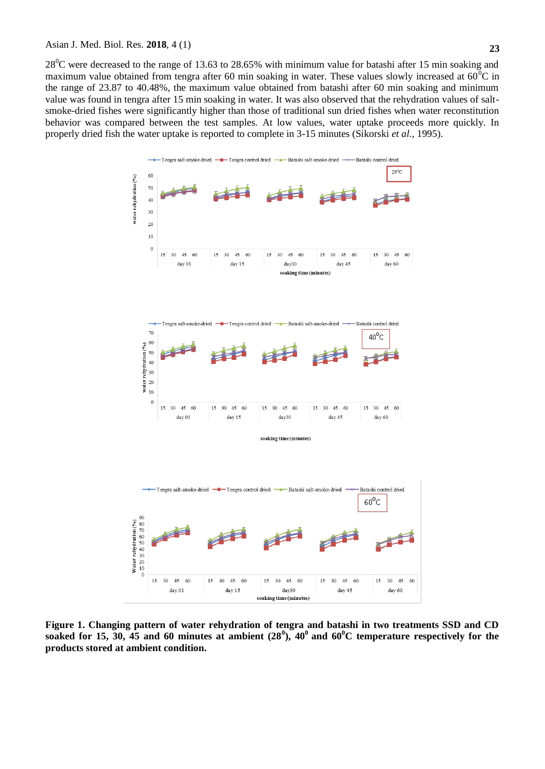#### Asian J. Med. Biol. Res. **2018**, 4 (1)

 $28^0$ C were decreased to the range of 13.63 to 28.65% with minimum value for batashi after 15 min soaking and maximum value obtained from tengra after 60 min soaking in water. These values slowly increased at  $60^{\circ}$ C in the range of 23.87 to 40.48%, the maximum value obtained from batashi after 60 min soaking and minimum value was found in tengra after 15 min soaking in water. It was also observed that the rehydration values of saltsmoke-dried fishes were significantly higher than those of traditional sun dried fishes when water reconstitution behavior was compared between the test samples. At low values, water uptake proceeds more quickly. In properly dried fish the water uptake is reported to complete in 3-15 minutes (Sikorski *et al*., 1995).



**Figure 1. Changing pattern of water rehydration of tengra and batashi in two treatments SSD and CD soaked for 15, 30, 45 and 60 minutes at ambient (28<sup>0</sup> ), 40<sup>0</sup>and 60<sup>0</sup>C temperature respectively for the products stored at ambient condition.**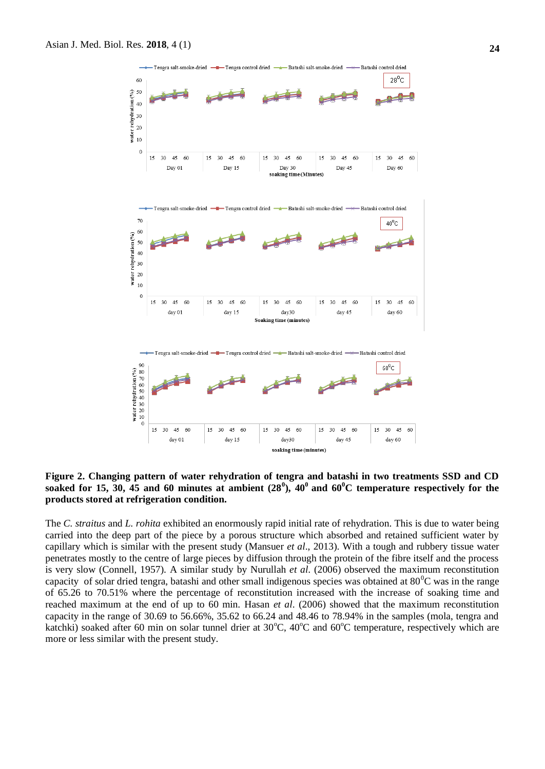

**Figure 2. Changing pattern of water rehydration of tengra and batashi in two treatments SSD and CD**  soaked for 15, 30, 45 and 60 minutes at ambient  $(28^0)$ , 40<sup>0</sup> and 60<sup>0</sup>C temperature respectively for the **products stored at refrigeration condition.**

The *C. straitus* and *L. rohita* exhibited an enormously rapid initial rate of rehydration. This is due to water being carried into the deep part of the piece by a porous structure which absorbed and retained sufficient water by capillary which is similar with the present study (Mansuer *et al*., 2013). With a tough and rubbery tissue water penetrates mostly to the centre of large pieces by diffusion through the protein of the fibre itself and the process is very slow (Connell, 1957). A similar study by Nurullah *et al*. (2006) observed the maximum reconstitution capacity of solar dried tengra, batashi and other small indigenous species was obtained at  $80^{\circ}$ C was in the range of 65.26 to 70.51% where the percentage of reconstitution increased with the increase of soaking time and reached maximum at the end of up to 60 min. Hasan *et al*. (2006) showed that the maximum reconstitution capacity in the range of 30.69 to 56.66%, 35.62 to 66.24 and 48.46 to 78.94% in the samples (mola, tengra and katchki) soaked after 60 min on solar tunnel drier at  $30^{\circ}$ C,  $40^{\circ}$ C and  $60^{\circ}$ C temperature, respectively which are more or less similar with the present study.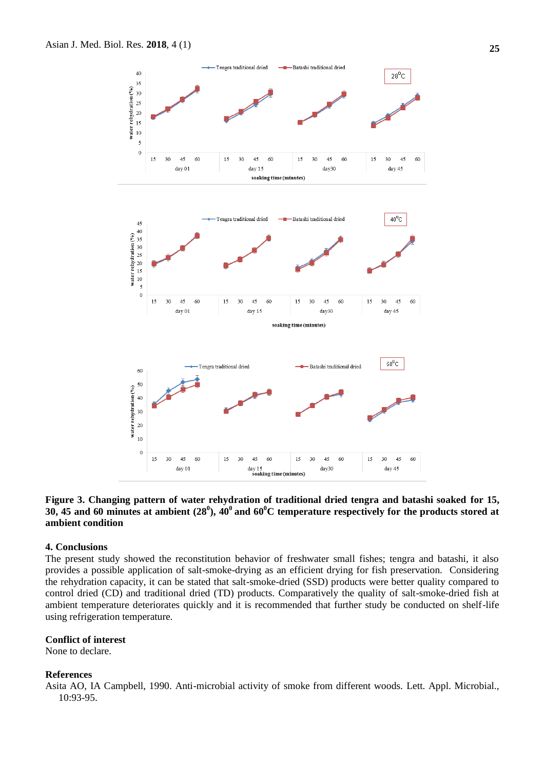

# **Figure 3. Changing pattern of water rehydration of traditional dried tengra and batashi soaked for 15, 30, 45 and 60 minutes at ambient (28<sup>0</sup> ), 40<sup>0</sup>and 60<sup>0</sup>C temperature respectively for the products stored at ambient condition**

# **4. Conclusions**

The present study showed the reconstitution behavior of freshwater small fishes; tengra and batashi, it also provides a possible application of salt-smoke-drying as an efficient drying for fish preservation. Considering the rehydration capacity, it can be stated that salt-smoke-dried (SSD) products were better quality compared to control dried (CD) and traditional dried (TD) products. Comparatively the quality of salt-smoke-dried fish at ambient temperature deteriorates quickly and it is recommended that further study be conducted on shelf-life using refrigeration temperature.

## **Conflict of interest**

None to declare.

## **References**

Asita AO, IA Campbell, 1990. Anti-microbial activity of smoke from different woods. Lett. Appl. Microbial., 10:93-95.